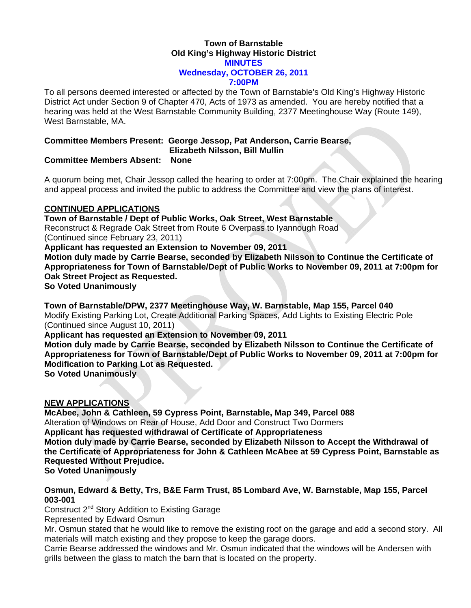### **Town of Barnstable Old King's Highway Historic District MINUTES Wednesday, OCTOBER 26, 2011 7:00PM**

To all persons deemed interested or affected by the Town of Barnstable's Old King's Highway Historic District Act under Section 9 of Chapter 470, Acts of 1973 as amended. You are hereby notified that a hearing was held at the West Barnstable Community Building, 2377 Meetinghouse Way (Route 149), West Barnstable, MA.

# **Committee Members Present: George Jessop, Pat Anderson, Carrie Bearse,**

 **Elizabeth Nilsson, Bill Mullin** 

## **Committee Members Absent: None**

A quorum being met, Chair Jessop called the hearing to order at 7:00pm. The Chair explained the hearing and appeal process and invited the public to address the Committee and view the plans of interest.

## **CONTINUED APPLICATIONS**

**Town of Barnstable / Dept of Public Works, Oak Street, West Barnstable**  Reconstruct & Regrade Oak Street from Route 6 Overpass to Iyannough Road (Continued since February 23, 2011) **Applicant has requested an Extension to November 09, 2011 Motion duly made by Carrie Bearse, seconded by Elizabeth Nilsson to Continue the Certificate of Appropriateness for Town of Barnstable/Dept of Public Works to November 09, 2011 at 7:00pm for Oak Street Project as Requested. So Voted Unanimously** 

**Town of Barnstable/DPW, 2377 Meetinghouse Way, W. Barnstable, Map 155, Parcel 040**  Modify Existing Parking Lot, Create Additional Parking Spaces, Add Lights to Existing Electric Pole (Continued since August 10, 2011)

**Applicant has requested an Extension to November 09, 2011** 

**Motion duly made by Carrie Bearse, seconded by Elizabeth Nilsson to Continue the Certificate of Appropriateness for Town of Barnstable/Dept of Public Works to November 09, 2011 at 7:00pm for Modification to Parking Lot as Requested.** 

**So Voted Unanimously** 

# **NEW APPLICATIONS**

**McAbee, John & Cathleen, 59 Cypress Point, Barnstable, Map 349, Parcel 088**  Alteration of Windows on Rear of House, Add Door and Construct Two Dormers **Applicant has requested withdrawal of Certificate of Appropriateness Motion duly made by Carrie Bearse, seconded by Elizabeth Nilsson to Accept the Withdrawal of the Certificate of Appropriateness for John & Cathleen McAbee at 59 Cypress Point, Barnstable as Requested Without Prejudice. So Voted Unanimously** 

### **Osmun, Edward & Betty, Trs, B&E Farm Trust, 85 Lombard Ave, W. Barnstable, Map 155, Parcel 003-001**

Construct 2<sup>nd</sup> Story Addition to Existing Garage

Represented by Edward Osmun

Mr. Osmun stated that he would like to remove the existing roof on the garage and add a second story. All materials will match existing and they propose to keep the garage doors.

Carrie Bearse addressed the windows and Mr. Osmun indicated that the windows will be Andersen with grills between the glass to match the barn that is located on the property.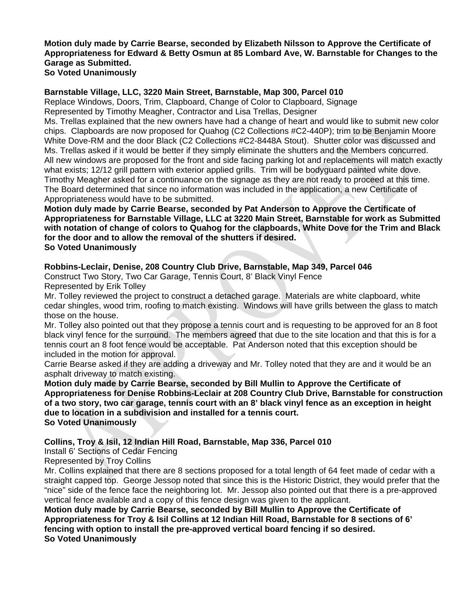#### **Motion duly made by Carrie Bearse, seconded by Elizabeth Nilsson to Approve the Certificate of Appropriateness for Edward & Betty Osmun at 85 Lombard Ave, W. Barnstable for Changes to the Garage as Submitted. So Voted Unanimously**

### **Barnstable Village, LLC, 3220 Main Street, Barnstable, Map 300, Parcel 010**

Replace Windows, Doors, Trim, Clapboard, Change of Color to Clapboard, Signage Represented by Timothy Meagher, Contractor and Lisa Trellas, Designer

Ms. Trellas explained that the new owners have had a change of heart and would like to submit new color chips. Clapboards are now proposed for Quahog (C2 Collections #C2-440P); trim to be Benjamin Moore White Dove-RM and the door Black (C2 Collections #C2-8448A Stout). Shutter color was discussed and Ms. Trellas asked if it would be better if they simply eliminate the shutters and the Members concurred. All new windows are proposed for the front and side facing parking lot and replacements will match exactly what exists; 12/12 grill pattern with exterior applied grills. Trim will be bodyguard painted white dove. Timothy Meagher asked for a continuance on the signage as they are not ready to proceed at this time. The Board determined that since no information was included in the application, a new Certificate of Appropriateness would have to be submitted.

**Motion duly made by Carrie Bearse, seconded by Pat Anderson to Approve the Certificate of Appropriateness for Barnstable Village, LLC at 3220 Main Street, Barnstable for work as Submitted with notation of change of colors to Quahog for the clapboards, White Dove for the Trim and Black for the door and to allow the removal of the shutters if desired. So Voted Unanimously** 

### **Robbins-Leclair, Denise, 208 Country Club Drive, Barnstable, Map 349, Parcel 046**

Construct Two Story, Two Car Garage, Tennis Court, 8' Black Vinyl Fence Represented by Erik Tolley

Mr. Tolley reviewed the project to construct a detached garage. Materials are white clapboard, white cedar shingles, wood trim, roofing to match existing. Windows will have grills between the glass to match those on the house.

Mr. Tolley also pointed out that they propose a tennis court and is requesting to be approved for an 8 foot black vinyl fence for the surround. The members agreed that due to the site location and that this is for a tennis court an 8 foot fence would be acceptable. Pat Anderson noted that this exception should be included in the motion for approval.

Carrie Bearse asked if they are adding a driveway and Mr. Tolley noted that they are and it would be an asphalt driveway to match existing.

**Motion duly made by Carrie Bearse, seconded by Bill Mullin to Approve the Certificate of Appropriateness for Denise Robbins-Leclair at 208 Country Club Drive, Barnstable for construction of a two story, two car garage, tennis court with an 8' black vinyl fence as an exception in height due to location in a subdivision and installed for a tennis court. So Voted Unanimously** 

**Collins, Troy & Isil, 12 Indian Hill Road, Barnstable, Map 336, Parcel 010** 

Install 6' Sections of Cedar Fencing

Represented by Troy Collins

Mr. Collins explained that there are 8 sections proposed for a total length of 64 feet made of cedar with a straight capped top. George Jessop noted that since this is the Historic District, they would prefer that the "nice" side of the fence face the neighboring lot. Mr. Jessop also pointed out that there is a pre-approved vertical fence available and a copy of this fence design was given to the applicant.

**Motion duly made by Carrie Bearse, seconded by Bill Mullin to Approve the Certificate of Appropriateness for Troy & Isil Collins at 12 Indian Hill Road, Barnstable for 8 sections of 6' fencing with option to install the pre-approved vertical board fencing if so desired. So Voted Unanimously**